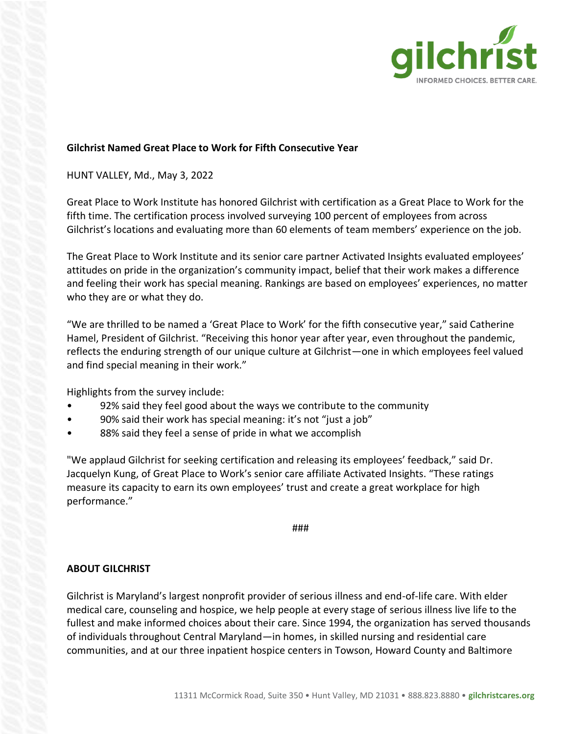

## **Gilchrist Named Great Place to Work for Fifth Consecutive Year**

## HUNT VALLEY, Md., May 3, 2022

Great Place to Work Institute has honored Gilchrist with certification as a Great Place to Work for the fifth time. The certification process involved surveying 100 percent of employees from across Gilchrist's locations and evaluating more than 60 elements of team members' experience on the job.

The Great Place to Work Institute and its senior care partner Activated Insights evaluated employees' attitudes on pride in the organization's community impact, belief that their work makes a difference and feeling their work has special meaning. Rankings are based on employees' experiences, no matter who they are or what they do.

"We are thrilled to be named a 'Great Place to Work' for the fifth consecutive year," said Catherine Hamel, President of Gilchrist. "Receiving this honor year after year, even throughout the pandemic, reflects the enduring strength of our unique culture at Gilchrist—one in which employees feel valued and find special meaning in their work."

Highlights from the survey include:

- 92% said they feel good about the ways we contribute to the community
- 90% said their work has special meaning: it's not "just a job"
- 88% said they feel a sense of pride in what we accomplish

"We applaud Gilchrist for seeking certification and releasing its employees' feedback," said Dr. Jacquelyn Kung, of Great Place to Work's senior care affiliate Activated Insights. "These ratings measure its capacity to earn its own employees' trust and create a great workplace for high performance."

###

## **ABOUT GILCHRIST**

Gilchrist is Maryland's largest nonprofit provider of serious illness and end-of-life care. With elder medical care, counseling and hospice, we help people at every stage of serious illness live life to the fullest and make informed choices about their care. Since 1994, the organization has served thousands of individuals throughout Central Maryland—in homes, in skilled nursing and residential care communities, and at our three inpatient hospice centers in Towson, Howard County and Baltimore